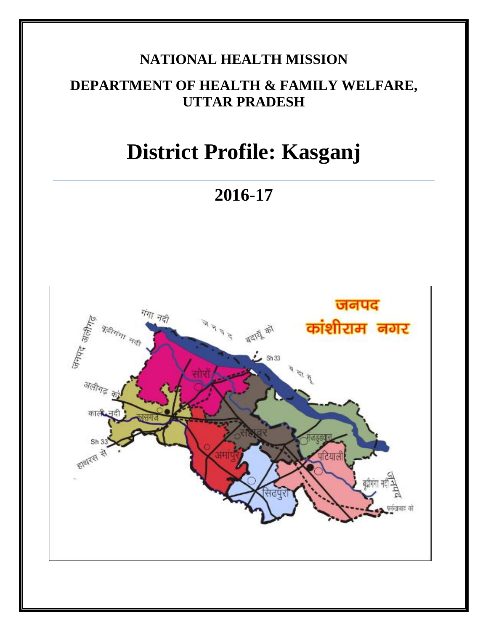# **NATIONAL HEALTH MISSION**

# **DEPARTMENT OF HEALTH & FAMILY WELFARE, UTTAR PRADESH**

# **District Profile: Kasganj**

**2016-17**

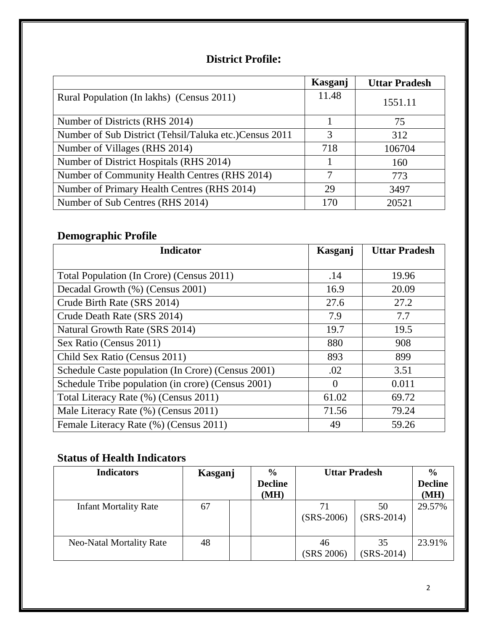### **District Profile:**

|                                                        | Kasganj | <b>Uttar Pradesh</b> |
|--------------------------------------------------------|---------|----------------------|
| Rural Population (In lakhs) (Census 2011)              | 11.48   | 1551.11              |
| Number of Districts (RHS 2014)                         |         | 75                   |
| Number of Sub District (Tehsil/Taluka etc.)Census 2011 | 3       | 312                  |
| Number of Villages (RHS 2014)                          | 718     | 106704               |
| Number of District Hospitals (RHS 2014)                |         | 160                  |
| Number of Community Health Centres (RHS 2014)          | 7       | 773                  |
| Number of Primary Health Centres (RHS 2014)            | 29      | 3497                 |
| Number of Sub Centres (RHS 2014)                       | 170     | 20521                |

## **Demographic Profile**

| <b>Indicator</b>                                   | Kasganj  | <b>Uttar Pradesh</b> |
|----------------------------------------------------|----------|----------------------|
|                                                    |          |                      |
| Total Population (In Crore) (Census 2011)          | .14      | 19.96                |
| Decadal Growth (%) (Census 2001)                   | 16.9     | 20.09                |
| Crude Birth Rate (SRS 2014)                        | 27.6     | 27.2                 |
| Crude Death Rate (SRS 2014)                        | 7.9      | 7.7                  |
| Natural Growth Rate (SRS 2014)                     | 19.7     | 19.5                 |
| Sex Ratio (Census 2011)                            | 880      | 908                  |
| Child Sex Ratio (Census 2011)                      | 893      | 899                  |
| Schedule Caste population (In Crore) (Census 2001) | .02      | 3.51                 |
| Schedule Tribe population (in crore) (Census 2001) | $\theta$ | 0.011                |
| Total Literacy Rate (%) (Census 2011)              | 61.02    | 69.72                |
| Male Literacy Rate (%) (Census 2011)               | 71.56    | 79.24                |
| Female Literacy Rate (%) (Census 2011)             | 49       | 59.26                |

### **Status of Health Indicators**

| <b>Indicators</b>               | Kasganj | $\frac{0}{0}$<br><b>Decline</b><br>(MH) | <b>Uttar Pradesh</b> |                    | $\frac{6}{6}$<br><b>Decline</b><br>(MH) |
|---------------------------------|---------|-----------------------------------------|----------------------|--------------------|-----------------------------------------|
| <b>Infant Mortality Rate</b>    | 67      |                                         | 71<br>$(SRS-2006)$   | 50<br>$(SRS-2014)$ | 29.57%                                  |
| <b>Neo-Natal Mortality Rate</b> | 48      |                                         | 46<br>(SRS 2006)     | 35<br>$(SRS-2014)$ | 23.91%                                  |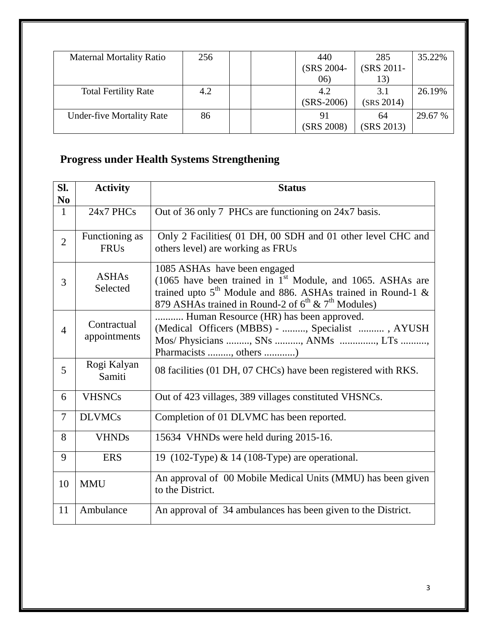| <b>Maternal Mortality Ratio</b>  | 256 | 440          | 285        | 35.22%  |
|----------------------------------|-----|--------------|------------|---------|
|                                  |     | (SRS 2004-   | (SRS 2011- |         |
|                                  |     | (06)         | 13)        |         |
| <b>Total Fertility Rate</b>      | 4.2 | 4.2          | 3.1        | 26.19%  |
|                                  |     | $(SRS-2006)$ | (SRS 2014) |         |
| <b>Under-five Mortality Rate</b> | 86  | 91           | 64         | 29.67 % |
|                                  |     | (SRS 2008)   | (SRS 2013) |         |

# **Progress under Health Systems Strengthening**

| SI.<br>N <sub>0</sub> | <b>Activity</b>               | <b>Status</b>                                                                                                                                                    |
|-----------------------|-------------------------------|------------------------------------------------------------------------------------------------------------------------------------------------------------------|
| $\mathbf{1}$          | $24x7$ PHCs                   | Out of 36 only 7 PHCs are functioning on 24x7 basis.                                                                                                             |
| $\overline{2}$        | Functioning as<br><b>FRUs</b> | Only 2 Facilities (01 DH, 00 SDH and 01 other level CHC and<br>others level) are working as FRUs                                                                 |
| 3                     | <b>ASHAs</b><br>Selected      | 1085 ASHAs have been engaged<br>(1065 have been trained in $1st$ Module, and 1065. ASHAs are<br>trained upto $5^{th}$ Module and 886. ASHAs trained in Round-1 & |
|                       |                               | 879 ASHAs trained in Round-2 of $6^{th}$ & $7^{th}$ Modules)                                                                                                     |
| $\overline{4}$        | Contractual<br>appointments   | Human Resource (HR) has been approved.<br>(Medical Officers (MBBS) - , Specialist , AYUSH<br>Mos/ Physicians , SNs , ANMs , LTs ,<br>Pharmacists , others )      |
| 5                     | Rogi Kalyan<br>Samiti         | 08 facilities (01 DH, 07 CHCs) have been registered with RKS.                                                                                                    |
| 6                     | <b>VHSNCs</b>                 | Out of 423 villages, 389 villages constituted VHSNCs.                                                                                                            |
| 7                     | <b>DLVMCs</b>                 | Completion of 01 DLVMC has been reported.                                                                                                                        |
| 8                     | <b>VHNDs</b>                  | 15634 VHNDs were held during 2015-16.                                                                                                                            |
| 9                     | <b>ERS</b>                    | 19 (102-Type) & 14 (108-Type) are operational.                                                                                                                   |
| 10                    | <b>MMU</b>                    | An approval of 00 Mobile Medical Units (MMU) has been given<br>to the District.                                                                                  |
| 11                    | Ambulance                     | An approval of 34 ambulances has been given to the District.                                                                                                     |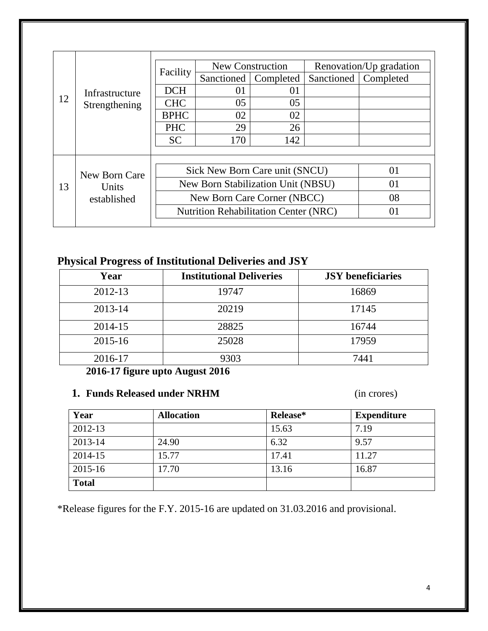|                            |                                              |                                | New Construction       |                         |    |                        |
|----------------------------|----------------------------------------------|--------------------------------|------------------------|-------------------------|----|------------------------|
|                            | Facility                                     |                                |                        | Renovation/Up gradation |    |                        |
|                            | Infrastructure<br>12<br>Strengthening        |                                | Sanctioned   Completed |                         |    | Sanctioned   Completed |
|                            |                                              | <b>DCH</b>                     | 01                     | 01                      |    |                        |
|                            |                                              | <b>CHC</b>                     | 05                     | 05                      |    |                        |
|                            |                                              | <b>BPHC</b>                    | 02                     | 02                      |    |                        |
|                            |                                              | <b>PHC</b>                     | 29                     | 26                      |    |                        |
|                            |                                              | <b>SC</b>                      | 170                    | 142                     |    |                        |
|                            |                                              |                                |                        |                         |    |                        |
|                            |                                              |                                |                        |                         |    | 01                     |
| New Born Care              |                                              | Sick New Born Care unit (SNCU) |                        |                         |    |                        |
| 13<br>Units<br>established | New Born Stabilization Unit (NBSU)           |                                |                        |                         | 01 |                        |
|                            | New Born Care Corner (NBCC)                  |                                |                        |                         | 08 |                        |
|                            | <b>Nutrition Rehabilitation Center (NRC)</b> |                                |                        | 01                      |    |                        |
|                            |                                              |                                |                        |                         |    |                        |

### **Physical Progress of Institutional Deliveries and JSY**

| Year    | <b>Institutional Deliveries</b> | <b>JSY</b> beneficiaries |
|---------|---------------------------------|--------------------------|
| 2012-13 | 19747                           | 16869                    |
| 2013-14 | 20219                           | 17145                    |
| 2014-15 | 28825                           | 16744                    |
| 2015-16 | 25028                           | 17959                    |
| 2016-17 | 9303                            | 7441                     |

**2016-17 figure upto August 2016**

#### **1. Funds Released under NRHM** (in crores)

| Year         | <b>Allocation</b> | Release* | <b>Expenditure</b> |
|--------------|-------------------|----------|--------------------|
| 2012-13      |                   | 15.63    | 7.19               |
| 2013-14      | 24.90             | 6.32     | 9.57               |
| 2014-15      | 15.77             | 17.41    | 11.27              |
| 2015-16      | 17.70             | 13.16    | 16.87              |
| <b>Total</b> |                   |          |                    |

\*Release figures for the F.Y. 2015-16 are updated on 31.03.2016 and provisional.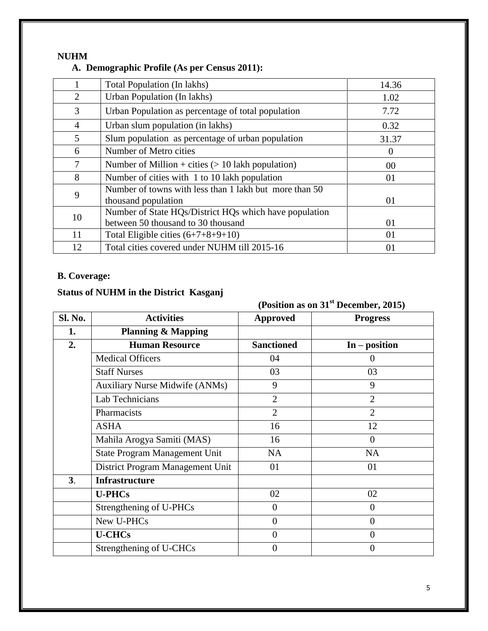#### **NUHM A. Demographic Profile (As per Census 2011):**

|                | Total Population (In lakhs)                                                   | 14.36    |
|----------------|-------------------------------------------------------------------------------|----------|
| $\overline{2}$ | Urban Population (In lakhs)                                                   | 1.02     |
| 3              | Urban Population as percentage of total population                            | 7.72     |
| 4              | Urban slum population (in lakhs)                                              | 0.32     |
| 5              | Slum population as percentage of urban population                             | 31.37    |
| 6              | Number of Metro cities                                                        | $\Omega$ |
| $\overline{7}$ | Number of Million + cities $(> 10$ lakh population)                           | 00       |
| 8              | Number of cities with 1 to 10 lakh population                                 | 01       |
| 9              | Number of towns with less than 1 lakh but more than 50<br>thousand population | 01       |
| 10             | Number of State HQs/District HQs which have population                        |          |
|                | between 50 thousand to 30 thousand                                            | 01       |
| 11             | Total Eligible cities $(6+7+8+9+10)$                                          | 01       |
| 12             | Total cities covered under NUHM till 2015-16                                  | 01       |

#### **B. Coverage:**

### **Status of NUHM in the District Kasganj**

**(Position as on 31st December, 2015)**

| Sl. No. | <b>Activities</b>                     | <b>Approved</b>   | <b>Progress</b> |
|---------|---------------------------------------|-------------------|-----------------|
| 1.      | <b>Planning &amp; Mapping</b>         |                   |                 |
| 2.      | <b>Human Resource</b>                 | <b>Sanctioned</b> | $In - position$ |
|         | <b>Medical Officers</b>               | 04                | $\Omega$        |
|         | <b>Staff Nurses</b>                   | 03                | 03              |
|         | <b>Auxiliary Nurse Midwife (ANMs)</b> | 9                 | 9               |
|         | Lab Technicians                       | $\overline{2}$    | $\overline{2}$  |
|         | Pharmacists                           | $\overline{2}$    | $\overline{2}$  |
|         | <b>ASHA</b>                           | 16                | 12              |
|         | Mahila Arogya Samiti (MAS)            | 16                | $\theta$        |
|         | State Program Management Unit         | <b>NA</b>         | <b>NA</b>       |
|         | District Program Management Unit      | 01                | 01              |
| 3.      | <b>Infrastructure</b>                 |                   |                 |
|         | <b>U-PHCs</b>                         | 02                | 02              |
|         | Strengthening of U-PHCs               | $\theta$          | $\overline{0}$  |
|         | New U-PHCs                            | $\overline{0}$    | $\overline{0}$  |
|         | <b>U-CHCs</b>                         | $\theta$          | $\overline{0}$  |
|         | Strengthening of U-CHCs               | $\overline{0}$    | $\overline{0}$  |